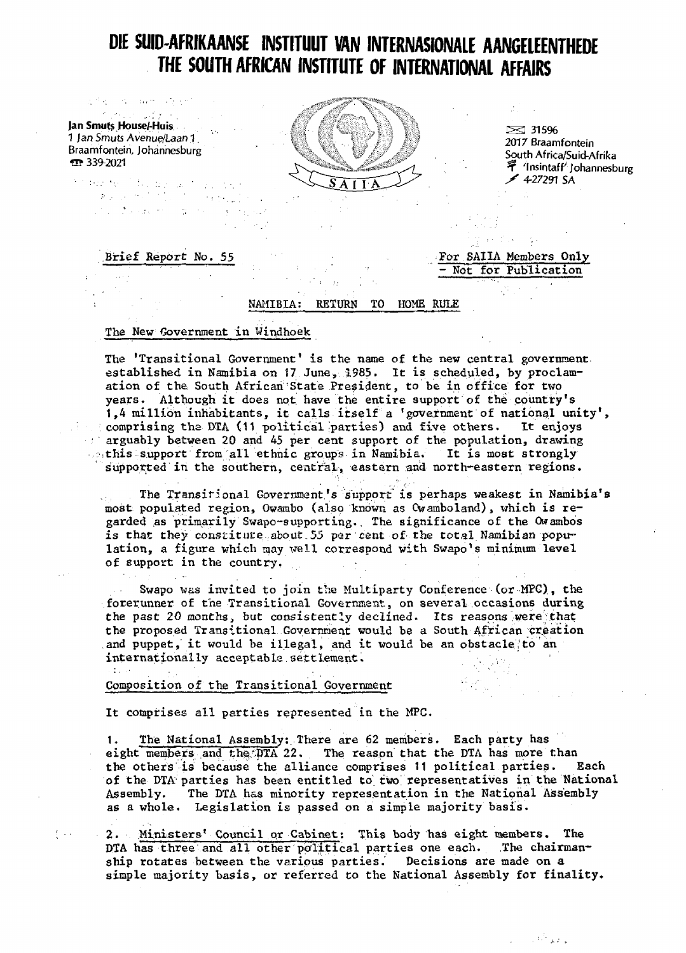# DIE SUID-AFRIKAANSE INSTITUUT VAN **INTERNASIONALE** AANGELEENTHEDE THE SOUTH AFRICAN INSTITUTE OF INTERNATIONAL AFFAIRS

1 Ian Smuts Avenue/Laan 1  $\overline{ }$  339-2021 raarm onten,

The Doctor Company

stage.

 $\ddot{\phantom{a}}$ 

 $\left\{ \left\langle \cdot ,\cdot \right\rangle \right\}$ 

state of the experiment



2017 Braamfontein South Africa/Suid-Afrika 学 'Insintaff' Johannesburg  $\neq$  427291 SA

- Not for Publication

 $\mathcal{L}_{\rm{eff}}$ 

 $\sim 6\%$  km s

atta markatu katika markatu.<br>Sebelum menduduk di bandar mengan

# Brief Report No. 55 For SAIIA Members Only

# NAMIBIA: RETURN TO HOME RULE

## The New Government in Windhoek

The 'Transitional Government' is the name of the new central government. established in Namibia on 17 June, 1985. It is scheduled, by proclamation of the South African'State President, to be in office for two years. Although it does not have the entire support of the country's 1,4 million inhabitants, it calls itself a 'government of national unity\*, comprising the DTA (11 political parties) and five others. It enjoys arguably between 20 and 45 per cent support of the population, drawing this support from all ethnic groups in Namibia. It is most strongly Supported in the southern, central, eastern and north-eastern regions.

The Transitional Government's support is perhaps weakest in Namibia's most populated region, Owambo (also known as Cwamboland), which is regarded as primarily Swapo-supporting. The significance of the Owambos is that they constitute about 55 per cent of the total Namibian population, a figure which may well correspond with Swapo's minimum level of support in the country. •

Swapo was invited to join the Multiparty Conference (or MFC), the forerunner of the Transitional Government, on several.occasions during the past 20 months, but consistently declined. Its reasons were that the proposed Transitional Government would be a South African creation and puppet, it would be illegal, and it would be an obstacle to an internationally acceptable settlement.

# Composition of the Transitional Government

It comprises all parties represented in the MPC.

1. The National Assembly:. There are 62 members. Each party has eight members and the  $\overline{DTA}$  22. The reason that the DTA has more than the others is because the alliance comprises 11 political parties. Each of the DTA parties has been entitled to two representatives in the National Assembly. The DTA has minority representation in the National Assembly as a whole. Legislation is passed on a simple majority basis.

2. Ministers' Council or Cabinet: This body has eight members. The DTA has three and all other political parties one each. The chairmanship rotates between the various parties. Decisions are made on a simple majority basis, or referred to the National Assembly for finality.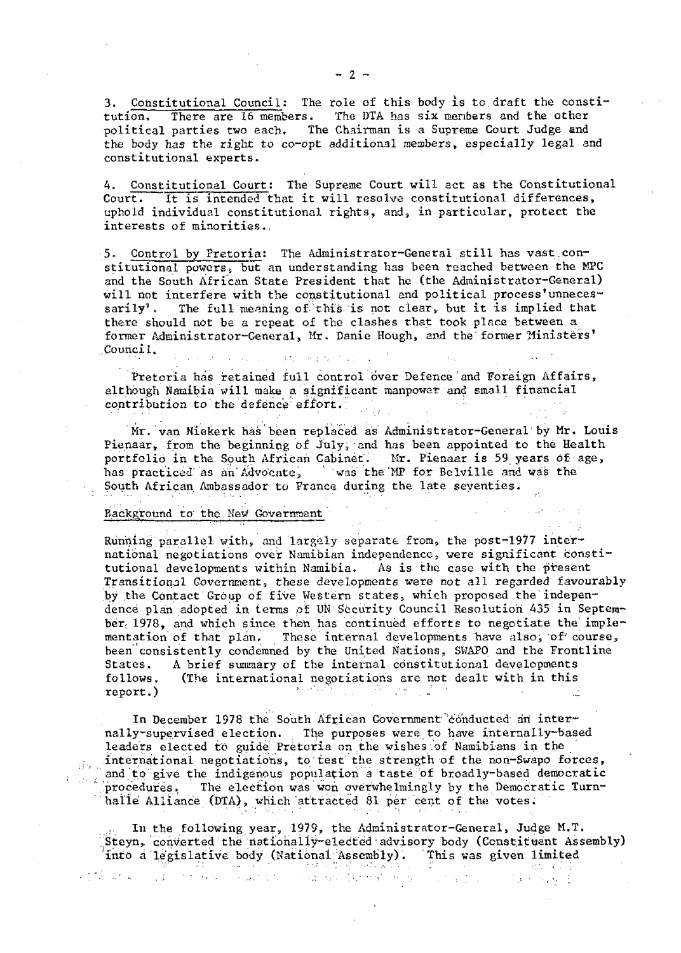3. Constitutional Council: The role of this body is to.draft the constitution. There are 16 members. The DTA has six menbers and the other political parties two each. The Chairman is a Supreme Court Judge and the body has the right to co-opt additional members, especially legal and constitutional experts.

4. Constitutional Court: The Supreme Court will act as the Constitutional Court. It is intended that it will resolve constitutional differences, uphold individual constitutional rights, and, in particular, protect the interests of minorities..

5. Control by Pretoria: The Administrator-General still has vast.constitutional powers, but an understanding has been reached between the MPC and the South African State President that he (the Administrator-General) will not interfere with the constitutional and political process'unnecessarily'. The full meaning of this is not clear, but it is implied that there should not be a repeat of the clashes that took place between a former Administrator-General, Mr. Danie Hough, and the former Ministers' .Council.  $\hat{L} = \hat{L} \hat{L} + \hat{L}$  $\mathcal{G}(\mathcal{F}_1)$  and  $\mathcal{G}(\mathcal{F}_2)$  and  $\mathcal{G}(\mathcal{F}_1)$ 

Pretoria has retained full control over Defence and Foreign Affairs, although Namibia will make a significant manpower and small financial contribution to the defence effort.

Mr. van Niekerk has been replaced as Administrator-General by Mr. Louis Pienaar, from the beginning of July, and has been appointed to the Health portfolio in the South African Cabinet. Mr. Pienaar is 59 years of age, has practiced as an Advocate, was the MP for Belville and was the South African Ambassador to France during the late seventies.

#### Background to' the New Government

Running parallel with, and largely separate from, the post-1977 international negotiations over Namibian independence, were significant constitutional developments within Namibia. As is the case with the.present Transitional Government, these developments were not all regarded favourably by the Contact Group of five Western states, which proposed the independence plan adopted in terms of UN Security Council Resolution 435 in September; 1978, and which since then has continued efforts to negotiate the' implementation of that plan. These internal developments have also, of course, been consistently condemned by the United Nations, SWAPO and the Frontline States. A brief summary of the internal constitutional developments follows, (The international negotiations are not dealt with in this report.)  $\mathbb{R}^n$  , it is the same interface of  $\mathbb{R}^n$  . It is the same interface of  $\mathbb{R}^n$ 

In December 1978 the South African Government conducted an internally~supervised election. The purposes were to have internally-based leaders elected to guide' Pretoria on the wishes of Namibians in the international negotiations, to test the strength of the nori-Swapo forces, and to give the indigenous population a taste of broadly-based democratic procedures. The election was won overwhelmingly by the Democratic Turnhalle Alliance (DTA), which attracted 81 per cent of the votes.

In the following year, 1979, the Administrator-General, Judge M.T. Steyn, converted the nationally-elected advisory body (Constituent Assembly) 'into a legislative body (National Assembly). This was given limited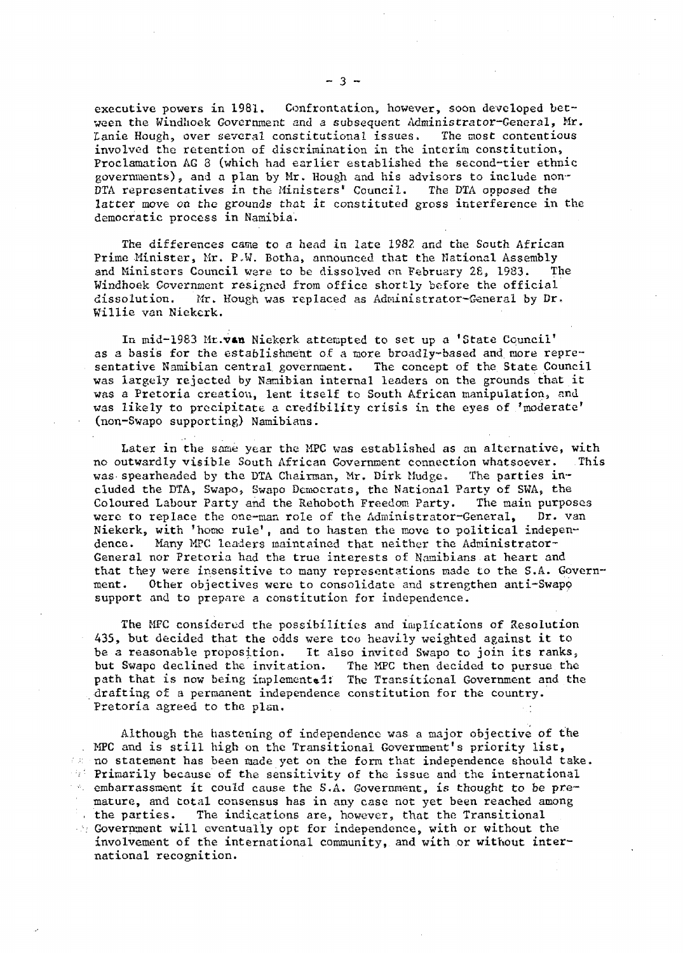executive powers in 1981. Confrontation, however, soon developed between the Windhoek Government and a subsequent Administrator-General, Mr. lanie Hough, over several constitutional issues. The most contentious involved the retention of discrimination in the interim constitution. Proclamation AG 3 (which had earlier established the second-tier ethnic governments), and a plan by Mr. Hough and his advisors to include non-DTA representatives in the Ministers" Council. The DTA opposed the latter move on the grounds that it constituted gross interference in the democratic process in Namibia.

The differences came to a head in late 1982, and the South African Prime Minister, Mr. P,W. Botha, announced that the National Assembly and Ministers Council were to be dissolved on February 2 $\epsilon$ , 1983. The Windhoek Government resigned from office shortly before the official dissolution. Mr. Hough was replaced as Adpiinistrator-General by Dr. Willie van Niekerk.

In mid-1983 Mr. van Niekerk attempted to set up a 'State Council' as a basis for the establishment of a more broadly-based and more representative Namibian central government. The concept of the State Council was largely rejected by Nanibian internal leaders on the grounds that it was a Pretoria creation, lent itself to South African manipulation, and was likely to precipitate a credibility crisis in the eyes of 'moderate' (non-Swapo supporting) Namibians.

Later in the same year the MPC was established as an alternative, with no outwardly visible South African Government connection whatsoever. This was spearheaded by the DTA Chairman, Mr. Dirk Mudge. The parties included the DTA, Swapo, Swapo Democrats, the National Party of SWA, the Coloured Labour Party and the Rehoboth Freedom Party. The main purposes were to replace the one-man role of the Administrator-General, Dr. van Niekerk, with 'home rule', and to hasten the move to political independence. Many MPC leaders maintained that neither the Administrator-General nor Pretoria had the true interests of Namibians at heart and that they were insensitive to many representations made to the S.A. Government. Other objectives were to consolidate and strengthen anti-Swapp support and to prepare a constitution for independence.

The MPC considered the possibilities and implications of Resolution 435, but decided that the odds were too heavily weighted against it to be a reasonable proposition. It also invited Swapo to join its ranks,, but Swapo declined the invitation. The MPC then decided to pursue the path that is now being implemented: The Transitional Government and the drafting of a permanent independence constitution for the country. Pretoria agreed to the plan.

Although the hastening of independence was a major objective of the MPC and is still high on the Transitional Government's priority list, no statement has been made yet on the form that independence should take. Primarily because of the sensitivity of the issue and the international  $\sim$  embarrassment it could cause the S.A. Government, is thought to be premature, and total consensus has in any case not yet been reached among the parties. The indications are, however, that the Transitional  $\mathcal{L}_i$  Government will eventually opt for independence, with or without the involvement of the international community, and with or without international recognition.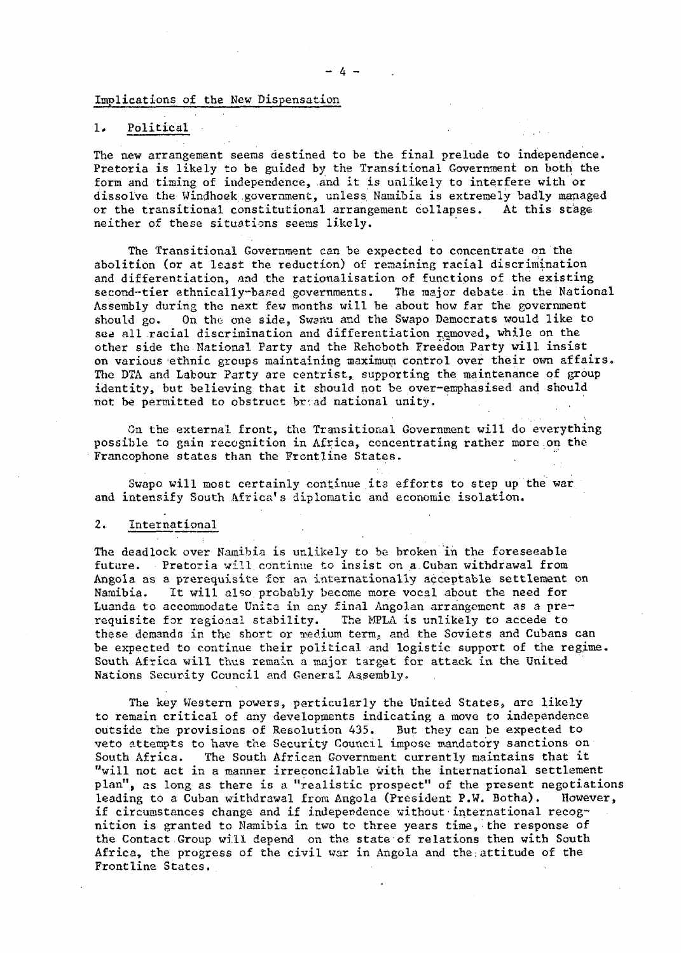Implications of the New Dispensation

### 1. Political

The new arrangement seems destined to be the final prelude to independence. Pretoria is likely to be guided by the Transitional Government on both the form and timing of independence, and it is unlikely to interfere with or dissolve the Windhoek government, unless Namibia is extremely badly managed or the transitional constitutional arrangement collapses. At this stage neither of these situations seems likely.

The Transitional Government can be expected to concentrate on the abolition (or at least the reduction) of regaining racial discrimination and differentiation, and the rationalisation of functions of the existing second-tier ethnically-based governments. The major debate in the National Assembly during the next few months will be about how far the government should go. On the one side, Swamu and the Swapo Democrats would like to see all racial discrimination and differentiation removed, while on the other side the National Party and the Rehoboth Freedom Party will insist on various ethnic groups maintaining maximum control over their own affairs. The DTA and Labour Party are centrist, supporting the maintenance of group identity, but believing that it should not be over-emphasised and should not be permitted to obstruct br'.ad national unity.

On the external front, the Transitional Government will do everything possible to gain recognition in Africa, concentrating rather more.on the Francophone states than the Frontline States.

Swapo will most certainly continue its efforts to step up the war and intensify South Africa's diplomatic and economic isolation.

#### 2. International

The deadlock over Namibia is unlikely to be broken in the foreseeable future. Pretoria will continue to insist on a.Cuban withdrawal from Angola as a prerequisite for an internationally acceptable settlement on<br>Namibia. It will also probably become more vocal about the need for It will also probably become more vocal about the need for Luanda to accommodate Unita in any final Angolan arrangement as a prerequisite for regional stability. The MPLA is unlikely to accede to these demands in the short or medium term, and the Soviets and Cubans can be expected to continue their political and logistic support of the regime. South Africa will thus remain a major target for attack in the United Nations Security Council and General Assembly.

The key Western powers, particularly the United States, are likely to remain critical of any developments indicating a move to independence outside the provisions of Resolution 435. But they can be expected to veto attempts to have the Security Council impose mandatory sanctions on South Africa. The South African Government currently maintains that it The South African Government currently maintains that it "will not act in a manner irreconcilable with the international settlement plan", as long as there is a "realistic prospect" of the present negotiations leading to a Cuban withdrawal from Angola (President P.W. Botha). However, if circumstances change and if independence without international recognition is granted to Namibia in two to three years time, the response of the Contact Group will depend on the state of relations then with South Africa, the progress of the civil war in Angola and the;attitude of the Frontline States.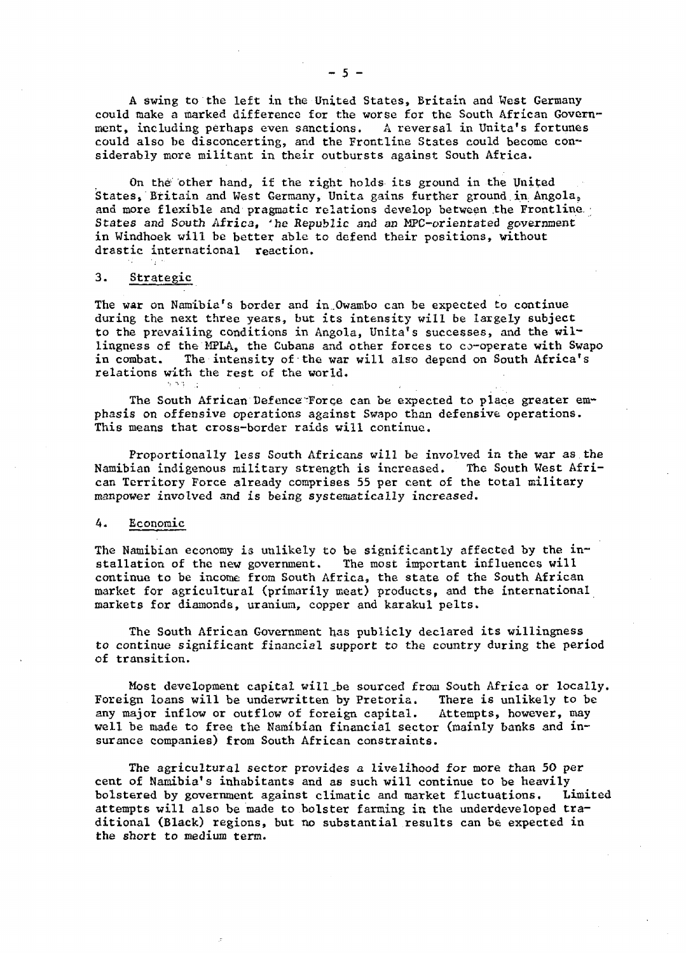A swing to the left in the United States, Britain and West Germany could make a marked difference for the worse for the South African Government, including perhaps even sanctions. A reversal in Unita's fortunes could also be disconcerting, and the Frontline States could become considerably more militant in their outbursts against South Africa.

On the other hand, if the right holds its ground in the United States, Britain and West Germany, Unita gains further ground.in Angolas and more flexible and pragmatic relations develop between the Frontline. States and South Africa, 'he Republic and an MPC-orientated government in Windhoek will be better able to defend their positions, without drastic international reaction.

#### 3. Strategic

 $5.53 - 1$ 

The war on Namibia's border and in.Owambo can be expected to continue during the next three years, but its intensity will be largely subject to the prevailing conditions in Angola, Unita's successes, and the willingness of the MPLA, the Cubans and other forces to co-operate with Swapo in combat. The intensity of the war will also depend on South Africa's relations with the rest of the world.

The South African Defence'Force can be expected to place greater emphasis on offensive operations against Swapo than defensive operations. This means that cross-border raids will continue.

Proportionally less South Africans will be involved in the war as the Namibian indigenous military strength is increased. The South West African Territory Force already comprises 55 per cent of the total military manpower involved and is being systematically increased.

### A. Economic

The Namibian economy is unlikely to be significantly affected by the installation of the new government. The most important influences will continue to be income from South Africa, the state of the South African market for agricultural (primarily meat) products, and the international markets for diamonds, uranium, copper and karakul pelts.

The South African Government has publicly declared its willingness to continue significant financial support to the country during the period of transition.

Most development capital will\_be sourced from South Africa or locally. Foreign loans will be underwritten by Pretoria. There is unlikely to be any major inflow or outflow of foreign capital. Attempts, however, may well be made to free the Namibian financial sector (mainly banks and insurance companies) from South African constraints.

The agricultural sector provides a livelihood for more than 50 per cent of Namibia's inhabitants and as such will continue to be heavily bolstered by government against climatic and market fluctuations. Limited attempts will also be made to bolster farming in the underdeveloped traditional (Black) regions, but no substantial results can be expected in the short to medium term.